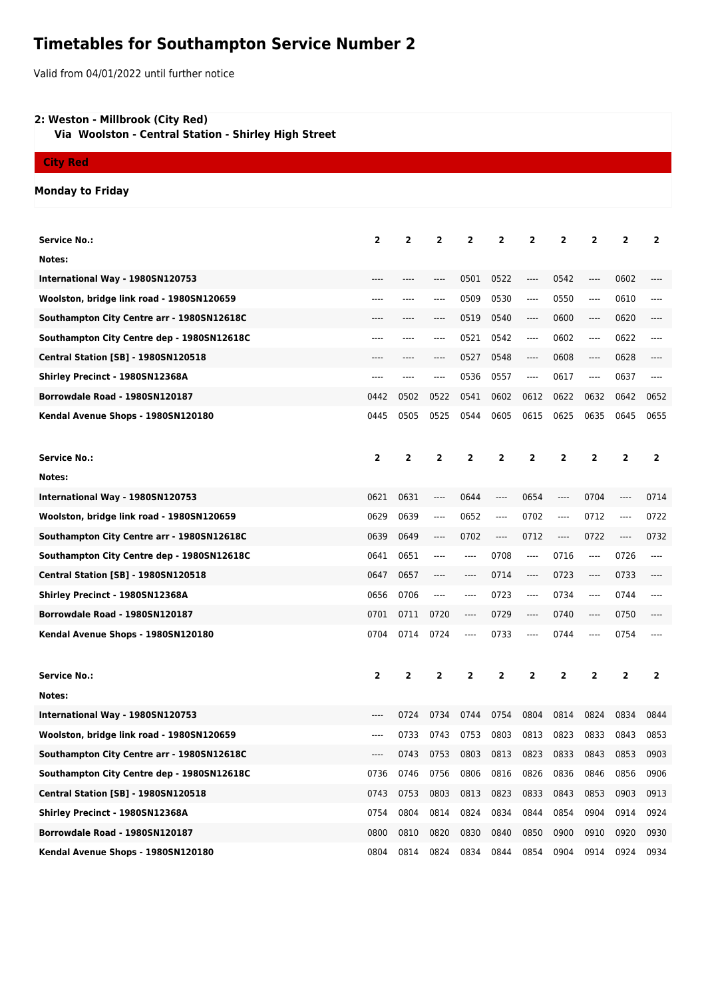## **Timetables for Southampton Service Number 2**

Valid from 04/01/2022 until further notice

## **2: Weston - Millbrook (City Red)**

 **Via Woolston - Central Station - Shirley High Street**

**City Red**

## **Monday to Friday**

| Service No.:                               | $\overline{\mathbf{2}}$ | $\mathbf{2}$   | $\mathbf{2}$ | $\overline{2}$ | $\overline{2}$ | 2                             | 2                       | $\overline{2}$                | $\overline{2}$ | $\overline{2}$          |
|--------------------------------------------|-------------------------|----------------|--------------|----------------|----------------|-------------------------------|-------------------------|-------------------------------|----------------|-------------------------|
| Notes:                                     |                         |                |              |                |                |                               |                         |                               |                |                         |
| International Way - 1980SN120753           |                         |                |              | 0501           | 0522           | $\hspace{1.5cm} \textbf{---}$ | 0542                    | ----                          | 0602           |                         |
| Woolston, bridge link road - 1980SN120659  | ----                    | ----           |              | 0509           | 0530           | ----                          | 0550                    | $\hspace{1.5cm} \textbf{---}$ | 0610           |                         |
| Southampton City Centre arr - 1980SN12618C | ----                    | ----           | ----         | 0519           | 0540           | $\hspace{1.5cm} \textbf{---}$ | 0600                    | $\hspace{1.5cm} \textbf{---}$ | 0620           |                         |
| Southampton City Centre dep - 1980SN12618C | ----                    | ----           |              | 0521           | 0542           | $---$                         | 0602                    | ----                          | 0622           | ----                    |
| <b>Central Station [SB] - 1980SN120518</b> |                         |                |              | 0527           | 0548           | $---$                         | 0608                    | ----                          | 0628           |                         |
| Shirley Precinct - 1980SN12368A            | ----                    | ----           |              | 0536           | 0557           | ----                          | 0617                    | ----                          | 0637           |                         |
| Borrowdale Road - 1980SN120187             | 0442                    | 0502           | 0522         | 0541           | 0602           | 0612                          | 0622                    | 0632                          | 0642           | 0652                    |
| Kendal Avenue Shops - 1980SN120180         | 0445                    | 0505           | 0525         | 0544           | 0605           | 0615                          | 0625                    | 0635                          | 0645           | 0655                    |
|                                            |                         |                |              |                |                |                               |                         |                               |                |                         |
| <b>Service No.:</b>                        | $\overline{2}$          | $\overline{2}$ | $\mathbf{2}$ | $\overline{2}$ | $\overline{2}$ | $\overline{2}$                | $\overline{\mathbf{2}}$ | $\overline{2}$                | $\overline{2}$ | $\overline{2}$          |
| Notes:                                     |                         |                |              |                |                |                               |                         |                               |                |                         |
| International Way - 1980SN120753           | 0621                    | 0631           | ----         | 0644           | ----           | 0654                          | ----                    | 0704                          | $---$          | 0714                    |
| Woolston, bridge link road - 1980SN120659  | 0629                    | 0639           | ----         | 0652           | ----           | 0702                          | ----                    | 0712                          | ----           | 0722                    |
| Southampton City Centre arr - 1980SN12618C | 0639                    | 0649           | ----         | 0702           | ----           | 0712                          | ----                    | 0722                          | $---$          | 0732                    |
| Southampton City Centre dep - 1980SN12618C | 0641                    | 0651           | ----         | ----           | 0708           | $\cdots$                      | 0716                    | $-----$                       | 0726           | ----                    |
| <b>Central Station [SB] - 1980SN120518</b> | 0647                    | 0657           | ----         | ----           | 0714           | $\cdots$                      | 0723                    | ----                          | 0733           |                         |
| Shirley Precinct - 1980SN12368A            | 0656                    | 0706           | $---$        | ----           | 0723           | $\cdots$                      | 0734                    | ----                          | 0744           | ----                    |
| Borrowdale Road - 1980SN120187             | 0701                    | 0711           | 0720         | ----           | 0729           | ----                          | 0740                    | ----                          | 0750           | ----                    |
| Kendal Avenue Shops - 1980SN120180         | 0704                    | 0714           | 0724         | ----           | 0733           | ----                          | 0744                    | ----                          | 0754           |                         |
|                                            |                         |                |              |                |                |                               |                         |                               |                |                         |
| <b>Service No.:</b>                        | $\overline{\mathbf{2}}$ | 2              | 2            | 2              | 2              | 2                             | $\overline{\mathbf{2}}$ | 2                             | 2              | $\overline{\mathbf{2}}$ |
| Notes:                                     |                         |                |              |                |                |                               |                         |                               |                |                         |
| International Way - 1980SN120753           | ----                    | 0724           | 0734         | 0744           | 0754           | 0804                          | 0814                    | 0824                          | 0834           | 0844                    |
| Woolston, bridge link road - 1980SN120659  | ----                    | 0733           | 0743         | 0753           | 0803           | 0813                          | 0823                    | 0833                          | 0843           | 0853                    |
| Southampton City Centre arr - 1980SN12618C |                         | 0743           | 0753 0803    |                |                | 0813 0823 0833                |                         | 0843                          | 0853           | 0903                    |
| Southampton City Centre dep - 1980SN12618C | 0736                    | 0746           | 0756         | 0806           | 0816           | 0826                          | 0836                    | 0846                          | 0856           | 0906                    |
| Central Station [SB] - 1980SN120518        | 0743                    | 0753           | 0803         | 0813           | 0823           | 0833                          | 0843                    | 0853                          | 0903           | 0913                    |
| <b>Shirley Precinct - 1980SN12368A</b>     | 0754                    | 0804           | 0814         | 0824           | 0834           | 0844                          | 0854                    | 0904                          | 0914           | 0924                    |
| Borrowdale Road - 1980SN120187             | 0800                    | 0810           | 0820         | 0830           | 0840           | 0850                          | 0900                    | 0910                          | 0920           | 0930                    |
| Kendal Avenue Shops - 1980SN120180         | 0804                    | 0814           | 0824         | 0834           | 0844           | 0854                          | 0904                    | 0914                          | 0924           | 0934                    |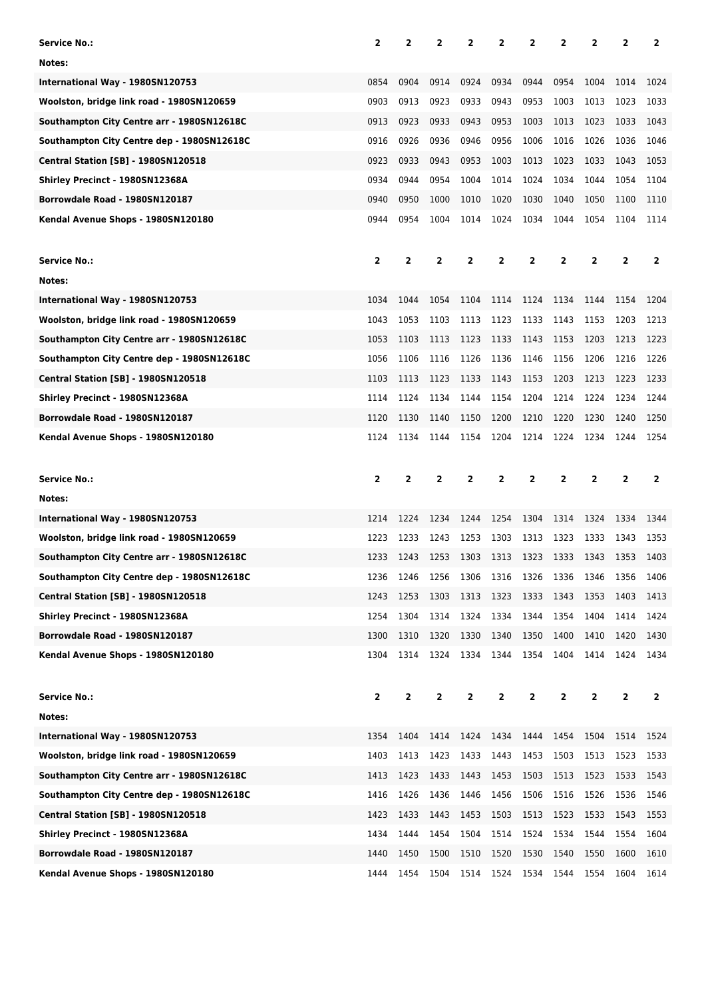| Service No.:                               | 2                       | 2              | $\overline{2}$ | 2         | 2         | 2              | 2            | 2              | 2              | $\overline{2}$ |
|--------------------------------------------|-------------------------|----------------|----------------|-----------|-----------|----------------|--------------|----------------|----------------|----------------|
| Notes:                                     |                         |                |                |           |           |                |              |                |                |                |
| International Way - 1980SN120753           | 0854                    | 0904           | 0914           | 0924      | 0934      | 0944           | 0954         | 1004           | 1014           | 1024           |
| Woolston, bridge link road - 1980SN120659  | 0903                    | 0913           | 0923           | 0933      | 0943      | 0953           | 1003         | 1013           | 1023           | 1033           |
| Southampton City Centre arr - 1980SN12618C | 0913                    | 0923           | 0933           | 0943      | 0953      | 1003           | 1013         | 1023           | 1033           | 1043           |
| Southampton City Centre dep - 1980SN12618C | 0916                    | 0926           | 0936           | 0946      | 0956      | 1006           | 1016         | 1026           | 1036           | 1046           |
| <b>Central Station [SB] - 1980SN120518</b> | 0923                    | 0933           | 0943           | 0953      | 1003      | 1013           | 1023         | 1033           | 1043           | 1053           |
| Shirley Precinct - 1980SN12368A            | 0934                    | 0944           | 0954           | 1004      | 1014      | 1024           | 1034         | 1044           | 1054           | 1104           |
| Borrowdale Road - 1980SN120187             | 0940                    | 0950           | 1000           | 1010      | 1020      | 1030           | 1040         | 1050           | 1100           | 1110           |
| Kendal Avenue Shops - 1980SN120180         | 0944                    | 0954           | 1004           | 1014      | 1024      | 1034           | 1044         | 1054           | 1104           | 1114           |
|                                            |                         |                |                |           |           |                |              |                |                |                |
| <b>Service No.:</b>                        | $\overline{\mathbf{2}}$ | 2              | 2              | 2         | 2         | 2              | 2            | 2              | 2              | 2              |
| Notes:                                     |                         |                |                |           |           |                |              |                |                |                |
| International Way - 1980SN120753           | 1034                    | 1044           | 1054           | 1104      | 1114      | 1124           | 1134         | 1144           | 1154           | 1204           |
| Woolston, bridge link road - 1980SN120659  | 1043                    | 1053           | 1103           | 1113      | 1123      | 1133           | 1143         | 1153           | 1203           | 1213           |
| Southampton City Centre arr - 1980SN12618C | 1053                    | 1103           | 1113           | 1123      | 1133      | 1143           | 1153         | 1203           | 1213           | 1223           |
| Southampton City Centre dep - 1980SN12618C | 1056                    | 1106           | 1116           | 1126      | 1136      | 1146           | 1156         | 1206           | 1216           | 1226           |
| <b>Central Station [SB] - 1980SN120518</b> | 1103                    | 1113           | 1123           | 1133      | 1143      | 1153           | 1203         | 1213           | 1223           | 1233           |
| Shirley Precinct - 1980SN12368A            | 1114                    | 1124           | 1134           | 1144      | 1154      | 1204           | 1214         | 1224           | 1234           | 1244           |
| Borrowdale Road - 1980SN120187             | 1120                    | 1130           | 1140           | 1150      | 1200      | 1210           | 1220         | 1230           | 1240           | 1250           |
| Kendal Avenue Shops - 1980SN120180         | 1124                    | 1134           | 1144           | 1154      | 1204      | 1214           | 1224         | 1234           | 1244           | 1254           |
|                                            |                         |                |                |           |           |                |              |                |                |                |
|                                            |                         |                |                |           |           |                |              |                |                |                |
| <b>Service No.:</b>                        | 2                       | $\overline{2}$ | $\overline{2}$ | 2         | 2         | $\overline{2}$ | 2            | $\overline{2}$ | $\overline{2}$ | $\overline{2}$ |
| Notes:                                     |                         |                |                |           |           |                |              |                |                |                |
| International Way - 1980SN120753           | 1214                    | 1224           | 1234           | 1244      | 1254      | 1304           | 1314         | 1324           | 1334           | 1344           |
| Woolston, bridge link road - 1980SN120659  | 1223                    | 1233           | 1243           | 1253      | 1303      | 1313           | 1323         | 1333           | 1343           | 1353           |
| Southampton City Centre arr - 1980SN12618C | 1233                    | 1243           | 1253           | 1303      | 1313      | 1323           | 1333         | 1343           | 1353           | 1403           |
| Southampton City Centre dep - 1980SN12618C | 1236                    | 1246           | 1256           | 1306      | 1316      | 1326           | 1336         | 1346           | 1356           | 1406           |
| <b>Central Station [SB] - 1980SN120518</b> | 1243                    | 1253           | 1303           | 1313      | 1323      | 1333           | 1343         | 1353           | 1403           | 1413           |
| Shirley Precinct - 1980SN12368A            | 1254                    | 1304           | 1314           | 1324      | 1334      | 1344           | 1354         | 1404           | 1414           | 1424           |
| Borrowdale Road - 1980SN120187             | 1300                    | 1310           | 1320           | 1330      | 1340      | 1350           | 1400         | 1410           | 1420           | 1430           |
| Kendal Avenue Shops - 1980SN120180         | 1304                    | 1314           | 1324           | 1334      | 1344      | 1354           | 1404         | 1414           | 1424           | 1434           |
|                                            |                         |                |                |           |           |                |              |                |                |                |
| <b>Service No.:</b>                        | $\overline{\mathbf{2}}$ | $\mathbf{2}$   | $\mathbf{2}$   | 2         | 2         | 2              | $\mathbf{2}$ | 2              | $\overline{2}$ | $\overline{2}$ |
| Notes:                                     |                         |                |                |           |           |                |              |                |                |                |
| International Way - 1980SN120753           | 1354                    | 1404           |                | 1414 1424 | 1434 1444 |                | 1454 1504    |                | 1514 1524      |                |
| Woolston, bridge link road - 1980SN120659  | 1403                    | 1413           | 1423           | 1433      | 1443      | 1453           | 1503         | 1513           | 1523           | 1533           |
| Southampton City Centre arr - 1980SN12618C | 1413                    | 1423           | 1433           | 1443      | 1453      | 1503           | 1513         | 1523           | 1533           | 1543           |
| Southampton City Centre dep - 1980SN12618C | 1416                    | 1426           | 1436           | 1446      | 1456      | 1506           | 1516         | 1526           | 1536           | 1546           |
| <b>Central Station [SB] - 1980SN120518</b> | 1423                    | 1433           | 1443           | 1453      | 1503      | 1513           | 1523         | 1533           | 1543           | 1553           |
| Shirley Precinct - 1980SN12368A            | 1434                    | 1444           | 1454           | 1504      | 1514      | 1524           | 1534         | 1544           | 1554           | 1604           |
| Borrowdale Road - 1980SN120187             | 1440                    | 1450           | 1500           | 1510      | 1520      | 1530           | 1540         | 1550           | 1600           | 1610           |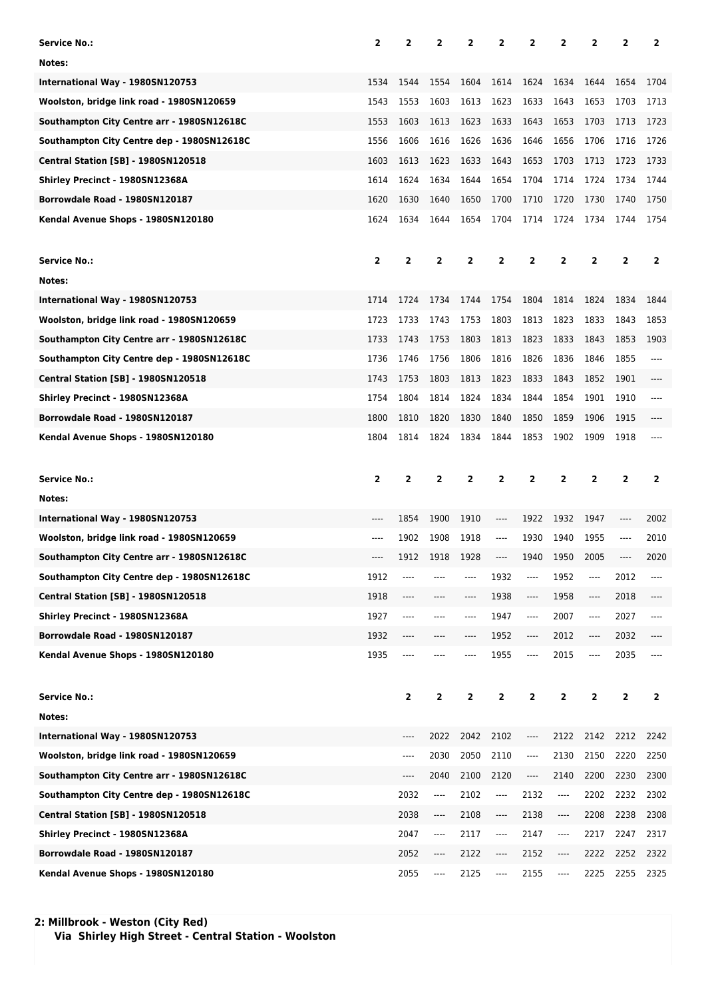| Service No.:                               | $\mathbf{2}$            | 2    | 2                             | 2    | 2                                                                                                                                                                                                 | 2                        | 2            | 2    | 2            | 2              |
|--------------------------------------------|-------------------------|------|-------------------------------|------|---------------------------------------------------------------------------------------------------------------------------------------------------------------------------------------------------|--------------------------|--------------|------|--------------|----------------|
| Notes:                                     |                         |      |                               |      |                                                                                                                                                                                                   |                          |              |      |              |                |
| International Way - 1980SN120753           | 1534                    | 1544 | 1554                          | 1604 | 1614                                                                                                                                                                                              | 1624                     | 1634         | 1644 | 1654         | 1704           |
| Woolston, bridge link road - 1980SN120659  | 1543                    | 1553 | 1603                          | 1613 | 1623                                                                                                                                                                                              | 1633                     | 1643         | 1653 | 1703         | 1713           |
| Southampton City Centre arr - 1980SN12618C | 1553                    | 1603 | 1613                          | 1623 | 1633                                                                                                                                                                                              | 1643                     | 1653         | 1703 | 1713         | 1723           |
| Southampton City Centre dep - 1980SN12618C | 1556                    | 1606 | 1616                          | 1626 | 1636                                                                                                                                                                                              | 1646                     | 1656         | 1706 | 1716         | 1726           |
| <b>Central Station [SB] - 1980SN120518</b> | 1603                    | 1613 | 1623                          | 1633 | 1643                                                                                                                                                                                              | 1653                     | 1703         | 1713 | 1723         | 1733           |
| Shirley Precinct - 1980SN12368A            | 1614                    | 1624 | 1634                          | 1644 | 1654                                                                                                                                                                                              | 1704                     | 1714         | 1724 | 1734         | 1744           |
| Borrowdale Road - 1980SN120187             | 1620                    | 1630 | 1640                          | 1650 | 1700                                                                                                                                                                                              | 1710                     | 1720         | 1730 | 1740         | 1750           |
| Kendal Avenue Shops - 1980SN120180         | 1624                    | 1634 | 1644                          | 1654 | 1704                                                                                                                                                                                              | 1714                     | 1724         | 1734 | 1744         | 1754           |
|                                            |                         |      |                               |      |                                                                                                                                                                                                   |                          |              |      |              |                |
| <b>Service No.:</b>                        | $\overline{\mathbf{2}}$ | 2    | 2                             | 2    | 2                                                                                                                                                                                                 | 2                        | $\mathbf{2}$ | 2    | 2            | 2              |
| Notes:                                     |                         |      |                               |      |                                                                                                                                                                                                   |                          |              |      |              |                |
| International Way - 1980SN120753           | 1714                    | 1724 | 1734                          | 1744 | 1754                                                                                                                                                                                              | 1804                     | 1814         | 1824 | 1834         | 1844           |
| Woolston, bridge link road - 1980SN120659  | 1723                    | 1733 | 1743                          | 1753 | 1803                                                                                                                                                                                              | 1813                     | 1823         | 1833 | 1843         | 1853           |
| Southampton City Centre arr - 1980SN12618C | 1733                    | 1743 | 1753                          | 1803 | 1813                                                                                                                                                                                              | 1823                     | 1833         | 1843 | 1853         | 1903           |
| Southampton City Centre dep - 1980SN12618C | 1736                    | 1746 | 1756                          | 1806 | 1816                                                                                                                                                                                              | 1826                     | 1836         | 1846 | 1855         | ----           |
| <b>Central Station [SB] - 1980SN120518</b> | 1743                    | 1753 | 1803                          | 1813 | 1823                                                                                                                                                                                              | 1833                     | 1843         | 1852 | 1901         | ----           |
| Shirley Precinct - 1980SN12368A            | 1754                    | 1804 | 1814                          | 1824 | 1834                                                                                                                                                                                              | 1844                     | 1854         | 1901 | 1910         | ----           |
| Borrowdale Road - 1980SN120187             | 1800                    | 1810 | 1820                          | 1830 | 1840                                                                                                                                                                                              | 1850                     | 1859         | 1906 | 1915         |                |
| Kendal Avenue Shops - 1980SN120180         | 1804                    | 1814 | 1824                          | 1834 | 1844                                                                                                                                                                                              | 1853                     | 1902         | 1909 | 1918         | ----           |
|                                            |                         |      |                               |      |                                                                                                                                                                                                   |                          |              |      |              |                |
|                                            |                         |      |                               |      |                                                                                                                                                                                                   |                          |              |      |              |                |
| <b>Service No.:</b>                        | $\overline{2}$          | 2    | 2                             | 2    | 2                                                                                                                                                                                                 | 2                        | $\mathbf{2}$ | 2    | $\mathbf{2}$ | $\overline{2}$ |
| Notes:                                     |                         |      |                               |      |                                                                                                                                                                                                   |                          |              |      |              |                |
| International Way - 1980SN120753           | ----                    | 1854 | 1900                          | 1910 | ----                                                                                                                                                                                              | 1922                     | 1932         | 1947 | ----         | 2002           |
| Woolston, bridge link road - 1980SN120659  | ----                    | 1902 | 1908                          | 1918 | $---$                                                                                                                                                                                             | 1930                     | 1940         | 1955 | $---$        | 2010           |
| Southampton City Centre arr - 1980SN12618C | ----                    | 1912 | 1918                          | 1928 | ----                                                                                                                                                                                              | 1940                     | 1950         | 2005 | ----         | 2020           |
| Southampton City Centre dep - 1980SN12618C | 1912                    |      |                               |      | 1932                                                                                                                                                                                              | ----                     | 1952         | ---- | 2012         | ----           |
| <b>Central Station [SB] - 1980SN120518</b> | 1918                    | ---- | ----                          | ---- | 1938                                                                                                                                                                                              | ----                     | 1958         | ---- | 2018         | ----           |
| Shirley Precinct - 1980SN12368A            | 1927                    | ---- | ----                          | ---- | 1947                                                                                                                                                                                              | $\overline{\phantom{a}}$ | 2007         | ---- | 2027         | $\cdots$       |
| Borrowdale Road - 1980SN120187             | 1932                    | ---- | ----                          | ---- | 1952                                                                                                                                                                                              | ----                     | 2012         | ---- | 2032         | ----           |
| Kendal Avenue Shops - 1980SN120180         | 1935                    | ---- |                               | ---- | 1955                                                                                                                                                                                              | ----                     | 2015         | ---- | 2035         | ----           |
|                                            |                         |      |                               |      |                                                                                                                                                                                                   |                          |              |      |              |                |
| <b>Service No.:</b>                        |                         | 2    | 2                             | 2    | 2                                                                                                                                                                                                 | $\overline{\mathbf{2}}$  | $\mathbf{2}$ | 2    | 2            | $\overline{2}$ |
| Notes:                                     |                         |      |                               |      |                                                                                                                                                                                                   |                          |              |      |              |                |
| International Way - 1980SN120753           |                         | ---- | 2022                          | 2042 | 2102                                                                                                                                                                                              | ----                     | 2122         | 2142 | 2212         | 2242           |
| Woolston, bridge link road - 1980SN120659  |                         | ---- | 2030                          | 2050 | 2110                                                                                                                                                                                              | ----                     | 2130         | 2150 | 2220         | 2250           |
| Southampton City Centre arr - 1980SN12618C |                         | ---- | 2040                          | 2100 | 2120                                                                                                                                                                                              | ----                     | 2140         | 2200 | 2230         | 2300           |
| Southampton City Centre dep - 1980SN12618C |                         | 2032 | ----                          | 2102 | ----                                                                                                                                                                                              | 2132                     | ----         | 2202 | 2232         | 2302           |
| <b>Central Station [SB] - 1980SN120518</b> |                         | 2038 | $\hspace{1.5cm} \textbf{---}$ | 2108 | $\hspace{0.02in} \hspace{0.02in} \hspace{0.02in} \hspace{0.02in} \hspace{0.02in} \hspace{0.02in} \hspace{0.02in} \hspace{0.02in} \hspace{0.02in} \hspace{0.02in} \hspace{0.02in} \hspace{0.02in}$ | 2138                     | ----         | 2208 | 2238         | 2308           |
| Shirley Precinct - 1980SN12368A            |                         | 2047 | ----                          | 2117 | ----                                                                                                                                                                                              | 2147                     | ----         | 2217 | 2247         | 2317           |
| Borrowdale Road - 1980SN120187             |                         | 2052 | $---$                         | 2122 | ----                                                                                                                                                                                              | 2152                     | ----         | 2222 | 2252         | 2322           |

**2: Millbrook - Weston (City Red) Via Shirley High Street - Central Station - Woolston**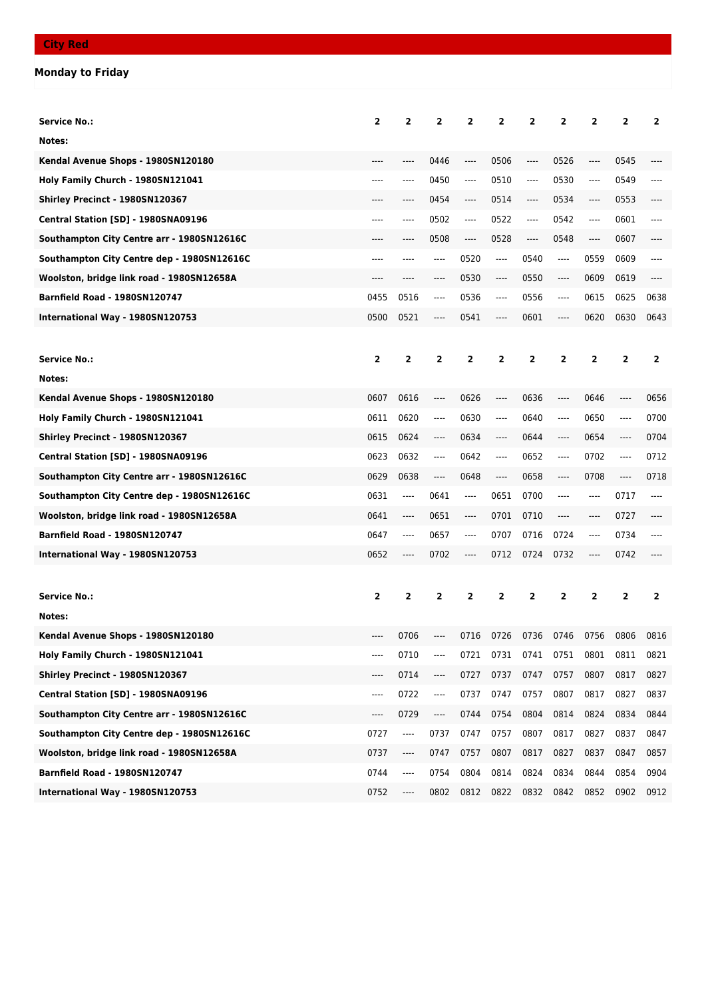## **Monday to Friday**

| <b>Service No.:</b>                        | $\overline{2}$          | $\overline{2}$           | $\overline{2}$ | $\overline{2}$ | $\overline{2}$                | $\overline{2}$ | $\overline{\mathbf{2}}$ | $\overline{2}$                | 2              | $\overline{2}$          |
|--------------------------------------------|-------------------------|--------------------------|----------------|----------------|-------------------------------|----------------|-------------------------|-------------------------------|----------------|-------------------------|
| Notes:                                     |                         |                          |                |                |                               |                |                         |                               |                |                         |
| Kendal Avenue Shops - 1980SN120180         | ----                    |                          | 0446           | ----           | 0506                          | $\cdots$       | 0526                    | ----                          | 0545           |                         |
| Holy Family Church - 1980SN121041          | ----                    | ----                     | 0450           | ----           | 0510                          | ----           | 0530                    | ----                          | 0549           |                         |
| Shirley Precinct - 1980SN120367            |                         | ----                     | 0454           | ----           | 0514                          | $\cdots$       | 0534                    | ----                          | 0553           |                         |
| Central Station [SD] - 1980SNA09196        | ----                    | ----                     | 0502           | ----           | 0522                          | ----           | 0542                    | ----                          | 0601           |                         |
| Southampton City Centre arr - 1980SN12616C |                         | ----                     | 0508           | ----           | 0528                          | $\cdots$       | 0548                    | ----                          | 0607           | ----                    |
| Southampton City Centre dep - 1980SN12616C | ----                    | ----                     | ----           | 0520           | ----                          | 0540           | ----                    | 0559                          | 0609           | ----                    |
| Woolston, bridge link road - 1980SN12658A  | ----                    |                          | ----           | 0530           | $-----$                       | 0550           | ----                    | 0609                          | 0619           | ----                    |
| <b>Barnfield Road - 1980SN120747</b>       | 0455                    | 0516                     | $---$          | 0536           | ----                          | 0556           | ----                    | 0615                          | 0625           | 0638                    |
| International Way - 1980SN120753           | 0500                    | 0521                     | ----           | 0541           | ----                          | 0601           | $-----$                 | 0620                          | 0630           | 0643                    |
|                                            |                         |                          |                |                |                               |                |                         |                               |                |                         |
| <b>Service No.:</b>                        | $\overline{2}$          | $\overline{2}$           | $\overline{2}$ | $\overline{2}$ | $\overline{2}$                | $\overline{2}$ | $\overline{\mathbf{2}}$ | $\overline{2}$                | $\overline{2}$ | $\overline{2}$          |
| Notes:                                     |                         |                          |                |                |                               |                |                         |                               |                |                         |
| Kendal Avenue Shops - 1980SN120180         | 0607                    | 0616                     | $\cdots$       | 0626           | $\cdots$                      | 0636           | ----                    | 0646                          | $\cdots$       | 0656                    |
| Holy Family Church - 1980SN121041          | 0611                    | 0620                     | $---$          | 0630           | $---$                         | 0640           | ----                    | 0650                          | $---$          | 0700                    |
| Shirley Precinct - 1980SN120367            | 0615                    | 0624                     | ----           | 0634           | ----                          | 0644           | $-----$                 | 0654                          | $-----$        | 0704                    |
| Central Station [SD] - 1980SNA09196        | 0623                    | 0632                     | $---$          | 0642           | ----                          | 0652           | ----                    | 0702                          | ----           | 0712                    |
| Southampton City Centre arr - 1980SN12616C | 0629                    | 0638                     | $\cdots$       | 0648           | $\hspace{1.5cm} \textbf{---}$ | 0658           | $-----$                 | 0708                          | $---$          | 0718                    |
| Southampton City Centre dep - 1980SN12616C | 0631                    | $-----$                  | 0641           | ----           | 0651                          | 0700           | $-----$                 | $-----$                       | 0717           | ----                    |
| Woolston, bridge link road - 1980SN12658A  | 0641                    | ----                     | 0651           | ----           | 0701                          | 0710           | $-----$                 | ----                          | 0727           | ----                    |
| <b>Barnfield Road - 1980SN120747</b>       | 0647                    | $-----$                  | 0657           | ----           | 0707                          | 0716           | 0724                    | $\hspace{1.5cm} \textbf{---}$ | 0734           | ----                    |
| International Way - 1980SN120753           | 0652                    | ----                     | 0702           | ----           | 0712                          | 0724           | 0732                    | ----                          | 0742           |                         |
|                                            |                         |                          |                |                |                               |                |                         |                               |                |                         |
| <b>Service No.:</b>                        | $\overline{\mathbf{2}}$ | 2                        | 2              | 2              | 2                             | $\overline{2}$ | $\overline{\mathbf{2}}$ | 2                             | 2              | $\overline{\mathbf{2}}$ |
| Notes:                                     |                         |                          |                |                |                               |                |                         |                               |                |                         |
| Kendal Avenue Shops - 1980SN120180         |                         | 0706                     |                | 0716           | 0726                          | 0736           | 0746                    | 0756                          | 0806           | 0816                    |
| Holy Family Church - 1980SN121041          | ----                    | 0710                     | ----           | 0721           | 0731                          | 0741           | 0751                    | 0801                          | 0811           | 0821                    |
| Shirley Precinct - 1980SN120367            | ----                    | 0714                     | ----           | 0727           | 0737                          | 0747           | 0757                    | 0807                          | 0817           | 0827                    |
| Central Station [SD] - 1980SNA09196        | ----                    | 0722                     | ----           | 0737           | 0747                          | 0757           | 0807                    | 0817                          | 0827           | 0837                    |
| Southampton City Centre arr - 1980SN12616C | ----                    | 0729                     | ----           | 0744           | 0754                          | 0804           | 0814                    | 0824                          | 0834           | 0844                    |
| Southampton City Centre dep - 1980SN12616C | 0727                    | $\overline{\phantom{a}}$ | 0737           | 0747           | 0757                          | 0807           | 0817                    | 0827                          | 0837           | 0847                    |
| Woolston, bridge link road - 1980SN12658A  | 0737                    | ----                     | 0747           | 0757           | 0807                          | 0817           | 0827                    | 0837                          | 0847           | 0857                    |
| <b>Barnfield Road - 1980SN120747</b>       | 0744                    | ----                     | 0754           | 0804           | 0814                          | 0824           | 0834                    | 0844                          | 0854           | 0904                    |
| International Way - 1980SN120753           | 0752                    | ----                     | 0802           | 0812           |                               | 0822 0832      | 0842                    | 0852                          | 0902           | 0912                    |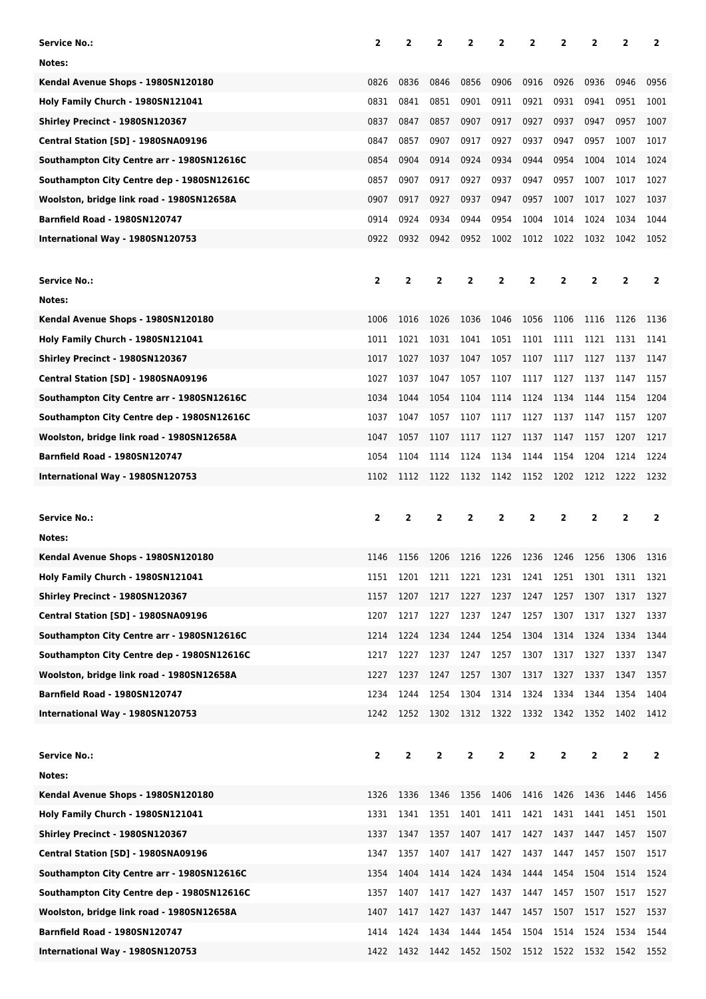| Service No.:                                                                            | $\overline{2}$          | $\mathbf{2}$   | $\overline{2}$ | $\overline{2}$ | 2                                | 2                       | 2                       | 2              | $\overline{2}$ | $\mathbf{2}$   |
|-----------------------------------------------------------------------------------------|-------------------------|----------------|----------------|----------------|----------------------------------|-------------------------|-------------------------|----------------|----------------|----------------|
| Notes:                                                                                  |                         |                |                |                |                                  |                         |                         |                |                |                |
| Kendal Avenue Shops - 1980SN120180                                                      | 0826                    | 0836           | 0846           | 0856           | 0906                             | 0916                    | 0926                    | 0936           | 0946           | 0956           |
| Holy Family Church - 1980SN121041                                                       | 0831                    | 0841           | 0851           | 0901           | 0911                             | 0921                    | 0931                    | 0941           | 0951           | 1001           |
| Shirley Precinct - 1980SN120367                                                         | 0837                    | 0847           | 0857           | 0907           | 0917                             | 0927                    | 0937                    | 0947           | 0957           | 1007           |
| Central Station [SD] - 1980SNA09196                                                     | 0847                    | 0857           | 0907           | 0917           | 0927                             | 0937                    | 0947                    | 0957           | 1007           | 1017           |
| Southampton City Centre arr - 1980SN12616C                                              | 0854                    | 0904           | 0914           | 0924           | 0934                             | 0944                    | 0954                    | 1004           | 1014           | 1024           |
| Southampton City Centre dep - 1980SN12616C                                              | 0857                    | 0907           | 0917           | 0927           | 0937                             | 0947                    | 0957                    | 1007           | 1017           | 1027           |
| Woolston, bridge link road - 1980SN12658A                                               | 0907                    | 0917           | 0927           | 0937           | 0947                             | 0957                    | 1007                    | 1017           | 1027           | 1037           |
| <b>Barnfield Road - 1980SN120747</b>                                                    | 0914                    | 0924           | 0934           | 0944           | 0954                             | 1004                    | 1014                    | 1024           | 1034           | 1044           |
| International Way - 1980SN120753                                                        | 0922                    | 0932           | 0942           | 0952           | 1002                             | 1012                    | 1022                    | 1032           | 1042           | 1052           |
|                                                                                         |                         |                |                |                |                                  |                         |                         |                |                |                |
| <b>Service No.:</b>                                                                     | $\mathbf{2}$            | $\overline{2}$ | $\overline{2}$ | $\overline{2}$ | 2                                | $\overline{\mathbf{2}}$ | 2                       | $\overline{2}$ | $\overline{2}$ | $\overline{2}$ |
| Notes:                                                                                  |                         |                |                |                |                                  |                         |                         |                |                |                |
| Kendal Avenue Shops - 1980SN120180                                                      | 1006                    | 1016           | 1026           | 1036           | 1046                             | 1056                    | 1106                    | 1116           | 1126           | 1136           |
| Holy Family Church - 1980SN121041                                                       | 1011                    | 1021           | 1031           | 1041           | 1051                             | 1101                    | 1111                    | 1121           | 1131           | 1141           |
| Shirley Precinct - 1980SN120367                                                         | 1017                    | 1027           | 1037           | 1047           | 1057                             | 1107                    | 1117                    | 1127           | 1137           | 1147           |
| Central Station [SD] - 1980SNA09196                                                     | 1027                    | 1037           | 1047           | 1057           | 1107                             | 1117                    | 1127                    | 1137           | 1147           | 1157           |
| Southampton City Centre arr - 1980SN12616C                                              | 1034                    | 1044           | 1054           | 1104           | 1114                             | 1124                    | 1134                    | 1144           | 1154           | 1204           |
| Southampton City Centre dep - 1980SN12616C                                              | 1037                    | 1047           | 1057           | 1107           | 1117                             | 1127                    | 1137                    | 1147           | 1157           | 1207           |
| Woolston, bridge link road - 1980SN12658A                                               | 1047                    | 1057           | 1107           | 1117           | 1127                             | 1137                    | 1147                    | 1157           | 1207           | 1217           |
| <b>Barnfield Road - 1980SN120747</b>                                                    | 1054                    | 1104           | 1114           | 1124           | 1134                             | 1144                    | 1154                    | 1204           | 1214           | 1224           |
| International Way - 1980SN120753                                                        | 1102                    | 1112           | 1122           | 1132           | 1142                             | 1152                    | 1202                    | 1212           | 1222           | 1232           |
|                                                                                         |                         |                |                |                |                                  |                         |                         |                |                |                |
|                                                                                         |                         |                |                |                |                                  |                         |                         |                |                |                |
| <b>Service No.:</b>                                                                     | 2                       | 2              | 2              | 2              | 2                                | 2                       | 2                       | 2              | 2              | 2              |
| Notes:                                                                                  |                         |                |                |                |                                  |                         |                         |                |                |                |
|                                                                                         | 1146                    | 1156           | 1206           | 1216           | 1226                             | 1236                    | 1246                    | 1256           | 1306           | 1316           |
| Kendal Avenue Shops - 1980SN120180<br>Holy Family Church - 1980SN121041                 | 1151                    | 1201           |                |                |                                  |                         |                         | 1301           | 1311           | 1321           |
| Shirley Precinct - 1980SN120367                                                         | 1157                    | 1207           | 1217           | 1227           | 1211 1221 1231 1241 1251<br>1237 | 1247                    | 1257                    | 1307           | 1317           | 1327           |
| Central Station [SD] - 1980SNA09196                                                     | 1207                    | 1217           | 1227           | 1237           | 1247                             | 1257                    | 1307                    | 1317           | 1327           | 1337           |
| Southampton City Centre arr - 1980SN12616C                                              | 1214                    | 1224           | 1234           | 1244           | 1254                             | 1304                    | 1314                    | 1324           | 1334           | 1344           |
|                                                                                         | 1217                    | 1227           | 1237           | 1247           | 1257                             | 1307                    | 1317                    | 1327           | 1337           | 1347           |
| Southampton City Centre dep - 1980SN12616C<br>Woolston, bridge link road - 1980SN12658A | 1227                    | 1237           | 1247           | 1257           | 1307                             | 1317                    | 1327                    | 1337           | 1347           | 1357           |
| <b>Barnfield Road - 1980SN120747</b>                                                    | 1234                    | 1244           | 1254           | 1304           | 1314                             | 1324                    | 1334                    | 1344           | 1354           | 1404           |
| International Way - 1980SN120753                                                        | 1242                    | 1252           | 1302           | 1312           | 1322                             | 1332 1342               |                         | 1352           | 1402           | 1412           |
|                                                                                         |                         |                |                |                |                                  |                         |                         |                |                |                |
|                                                                                         |                         |                |                |                |                                  |                         |                         |                | $\overline{2}$ |                |
| <b>Service No.:</b>                                                                     | $\overline{\mathbf{2}}$ | 2              | $\overline{2}$ | 2              | 2                                | $\overline{\mathbf{2}}$ | $\overline{\mathbf{2}}$ | 2              |                | $\mathbf{2}$   |
| Notes:                                                                                  |                         |                |                |                |                                  |                         |                         |                |                |                |
| Kendal Avenue Shops - 1980SN120180                                                      | 1326                    | 1336           | 1346           | 1356           | 1406                             | 1416                    | 1426                    | 1436           | 1446           | 1456           |
| Holy Family Church - 1980SN121041<br>Shirley Precinct - 1980SN120367                    | 1331<br>1337            | 1341<br>1347   | 1351<br>1357   | 1401<br>1407   | 1411<br>1417                     | 1421<br>1427            | 1431<br>1437            | 1441<br>1447   | 1451<br>1457   | 1501<br>1507   |
|                                                                                         | 1347                    | 1357           | 1407           | 1417           | 1427                             | 1437                    | 1447                    | 1457           | 1507           | 1517           |
| Central Station [SD] - 1980SNA09196<br>Southampton City Centre arr - 1980SN12616C       | 1354                    | 1404           | 1414           | 1424           | 1434                             | 1444                    | 1454                    | 1504           | 1514           | 1524           |
| Southampton City Centre dep - 1980SN12616C                                              | 1357                    | 1407           | 1417           | 1427           | 1437                             | 1447                    | 1457                    | 1507           | 1517           | 1527           |
|                                                                                         | 1407                    | 1417           | 1427           | 1437           | 1447                             | 1457                    | 1507                    | 1517           | 1527           | 1537           |
| Woolston, bridge link road - 1980SN12658A<br>Barnfield Road - 1980SN120747              | 1414                    | 1424           | 1434           | 1444           | 1454                             | 1504                    | 1514                    | 1524           | 1534           | 1544           |